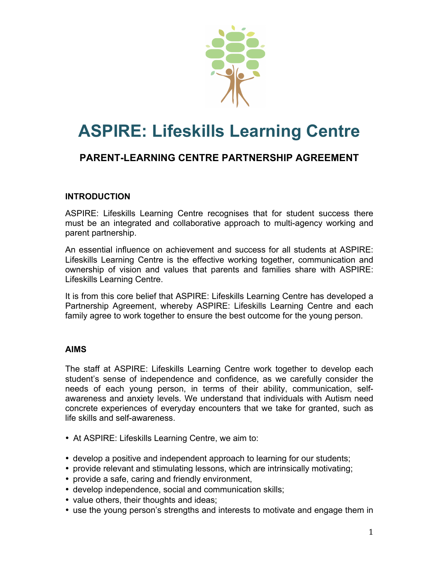

# **ASPIRE: Lifeskills Learning Centre**

# **PARENT-LEARNING CENTRE PARTNERSHIP AGREEMENT**

#### **INTRODUCTION**

ASPIRE: Lifeskills Learning Centre recognises that for student success there must be an integrated and collaborative approach to multi-agency working and parent partnership.

An essential influence on achievement and success for all students at ASPIRE: Lifeskills Learning Centre is the effective working together, communication and ownership of vision and values that parents and families share with ASPIRE: Lifeskills Learning Centre.

It is from this core belief that ASPIRE: Lifeskills Learning Centre has developed a Partnership Agreement, whereby ASPIRE: Lifeskills Learning Centre and each family agree to work together to ensure the best outcome for the young person.

#### **AIMS**

The staff at ASPIRE: Lifeskills Learning Centre work together to develop each student's sense of independence and confidence, as we carefully consider the needs of each young person, in terms of their ability, communication, selfawareness and anxiety levels. We understand that individuals with Autism need concrete experiences of everyday encounters that we take for granted, such as life skills and self-awareness.

- At ASPIRE: Lifeskills Learning Centre, we aim to:
- develop a positive and independent approach to learning for our students;
- provide relevant and stimulating lessons, which are intrinsically motivating;
- provide a safe, caring and friendly environment,
- develop independence, social and communication skills;
- value others, their thoughts and ideas;
- use the young person's strengths and interests to motivate and engage them in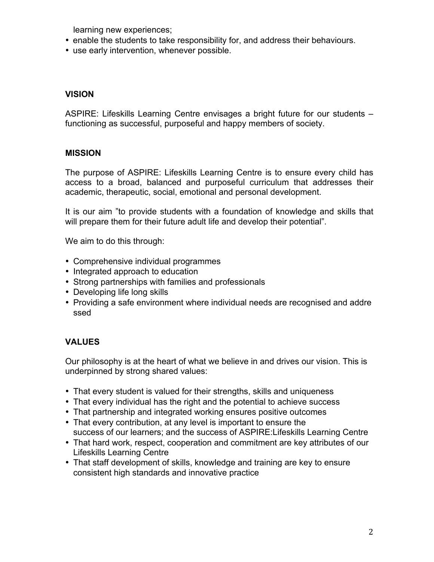learning new experiences;

- enable the students to take responsibility for, and address their behaviours.
- use early intervention, whenever possible.

#### **VISION**

ASPIRE: Lifeskills Learning Centre envisages a bright future for our students – functioning as successful, purposeful and happy members of society.

#### **MISSION**

The purpose of ASPIRE: Lifeskills Learning Centre is to ensure every child has access to a broad, balanced and purposeful curriculum that addresses their academic, therapeutic, social, emotional and personal development.

It is our aim "to provide students with a foundation of knowledge and skills that will prepare them for their future adult life and develop their potential".

We aim to do this through:

- Comprehensive individual programmes
- Integrated approach to education
- Strong partnerships with families and professionals
- Developing life long skills
- Providing a safe environment where individual needs are recognised and addre ssed

#### **VALUES**

Our philosophy is at the heart of what we believe in and drives our vision. This is underpinned by strong shared values:

- That every student is valued for their strengths, skills and uniqueness
- That every individual has the right and the potential to achieve success
- That partnership and integrated working ensures positive outcomes
- That every contribution, at any level is important to ensure the success of our learners; and the success of ASPIRE:Lifeskills Learning Centre
- That hard work, respect, cooperation and commitment are key attributes of our Lifeskills Learning Centre
- That staff development of skills, knowledge and training are key to ensure consistent high standards and innovative practice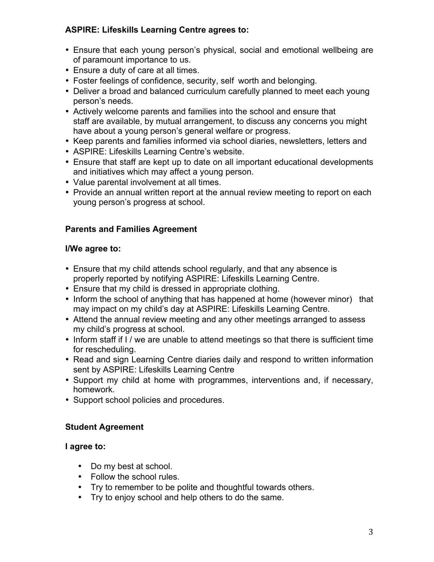#### **ASPIRE: Lifeskills Learning Centre agrees to:**

- Ensure that each young person's physical, social and emotional wellbeing are of paramount importance to us.
- Ensure a duty of care at all times.
- Foster feelings of confidence, security, self worth and belonging.
- Deliver a broad and balanced curriculum carefully planned to meet each young person's needs.
- Actively welcome parents and families into the school and ensure that staff are available, by mutual arrangement, to discuss any concerns you might have about a young person's general welfare or progress.
- Keep parents and families informed via school diaries, newsletters, letters and
- ASPIRE: Lifeskills Learning Centre's website.
- Ensure that staff are kept up to date on all important educational developments and initiatives which may affect a young person.
- Value parental involvement at all times.
- Provide an annual written report at the annual review meeting to report on each young person's progress at school.

## **Parents and Families Agreement**

#### **I/We agree to:**

- Ensure that my child attends school regularly, and that any absence is properly reported by notifying ASPIRE: Lifeskills Learning Centre.
- Ensure that my child is dressed in appropriate clothing.
- Inform the school of anything that has happened at home (however minor) that may impact on my child's day at ASPIRE: Lifeskills Learning Centre.
- Attend the annual review meeting and any other meetings arranged to assess my child's progress at school.
- Inform staff if I / we are unable to attend meetings so that there is sufficient time for rescheduling.
- Read and sign Learning Centre diaries daily and respond to written information sent by ASPIRE: Lifeskills Learning Centre
- Support my child at home with programmes, interventions and, if necessary, homework.
- Support school policies and procedures.

## **Student Agreement**

#### **I agree to:**

- Do my best at school.
- Follow the school rules.
- Try to remember to be polite and thoughtful towards others.
- Try to enjoy school and help others to do the same.